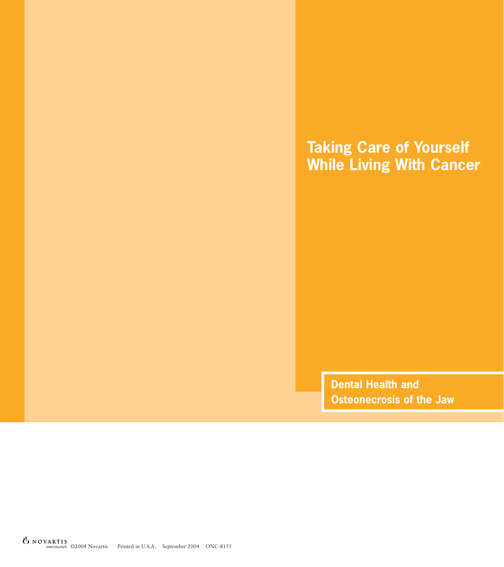# **Taking Care of Yourself While Living With Cancer**

**Dental Health and Osteonecrosis of the Jaw**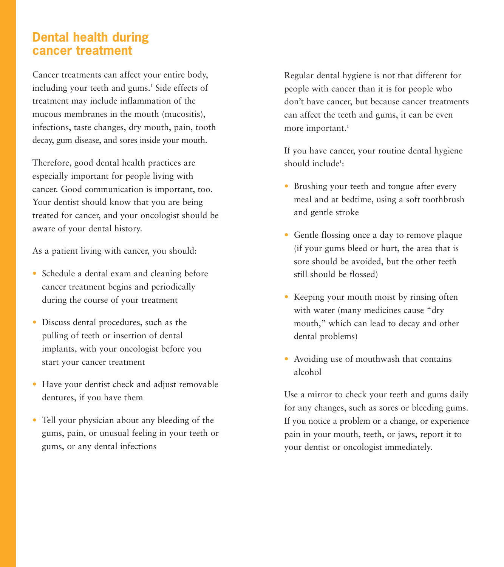### **Dental health during cancer treatment**

Cancer treatments can affect your entire body, including your teeth and gums.<sup>1</sup> Side effects of treatment may include inflammation of the mucous membranes in the mouth (mucositis), infections, taste changes, dry mouth, pain, tooth decay, gum disease, and sores inside your mouth.

Therefore, good dental health practices are especially important for people living with cancer. Good communication is important, too. Your dentist should know that you are being treated for cancer, and your oncologist should be aware of your dental history.

As a patient living with cancer, you should:

- Schedule a dental exam and cleaning before cancer treatment begins and periodically during the course of your treatment
- Discuss dental procedures, such as the pulling of teeth or insertion of dental implants, with your oncologist before you start your cancer treatment
- Have your dentist check and adjust removable dentures, if you have them
- Tell your physician about any bleeding of the gums, pain, or unusual feeling in your teeth or gums, or any dental infections

Regular dental hygiene is not that different for people with cancer than it is for people who don't have cancer, but because cancer treatments can affect the teeth and gums, it can be even more important.<sup>1</sup>

If you have cancer, your routine dental hygiene should include<sup>1</sup>:

- Brushing your teeth and tongue after every meal and at bedtime, using a soft toothbrush and gentle stroke
- Gentle flossing once a day to remove plaque (if your gums bleed or hurt, the area that is sore should be avoided, but the other teeth still should be flossed)
- Keeping your mouth moist by rinsing often with water (many medicines cause "dry mouth," which can lead to decay and other dental problems)
- Avoiding use of mouthwash that contains alcohol

Use a mirror to check your teeth and gums daily for any changes, such as sores or bleeding gums. If you notice a problem or a change, or experience pain in your mouth, teeth, or jaws, report it to your dentist or oncologist immediately.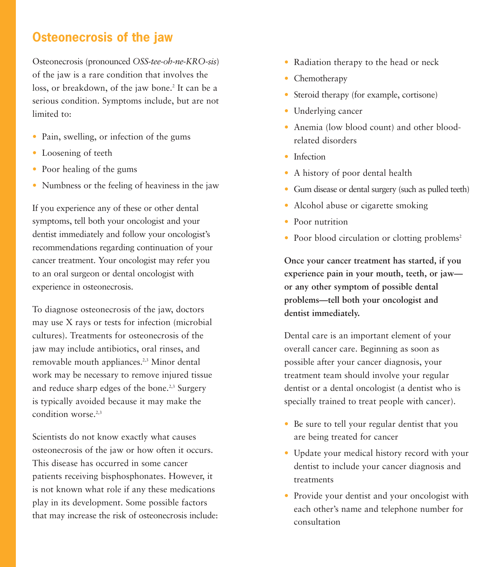## **Osteonecrosis of the jaw**

Osteonecrosis (pronounced *OSS-tee-oh-ne-KRO-sis*) of the jaw is a rare condition that involves the loss, or breakdown, of the jaw bone.<sup>2</sup> It can be a serious condition. Symptoms include, but are not limited to:

- Pain, swelling, or infection of the gums
- Loosening of teeth
- Poor healing of the gums
- Numbness or the feeling of heaviness in the jaw

If you experience any of these or other dental symptoms, tell both your oncologist and your dentist immediately and follow your oncologist's recommendations regarding continuation of your cancer treatment. Your oncologist may refer you to an oral surgeon or dental oncologist with experience in osteonecrosis.

To diagnose osteonecrosis of the jaw, doctors may use X rays or tests for infection (microbial cultures). Treatments for osteonecrosis of the jaw may include antibiotics, oral rinses, and removable mouth appliances.<sup>2,3</sup> Minor dental work may be necessary to remove injured tissue and reduce sharp edges of the bone.<sup>2,3</sup> Surgery is typically avoided because it may make the condition worse.<sup>2,3</sup>

Scientists do not know exactly what causes osteonecrosis of the jaw or how often it occurs. This disease has occurred in some cancer patients receiving bisphosphonates. However, it is not known what role if any these medications play in its development. Some possible factors that may increase the risk of osteonecrosis include:

- Radiation therapy to the head or neck
- Chemotherapy
- Steroid therapy (for example, cortisone)
- Underlying cancer
- Anemia (low blood count) and other bloodrelated disorders
- Infection
- A history of poor dental health
- Gum disease or dental surgery (such as pulled teeth)
- Alcohol abuse or cigarette smoking
- Poor nutrition
- Poor blood circulation or clotting problems<sup>2</sup>

**Once your cancer treatment has started, if you experience pain in your mouth, teeth, or jaw or any other symptom of possible dental problems—tell both your oncologist and dentist immediately.** 

Dental care is an important element of your overall cancer care. Beginning as soon as possible after your cancer diagnosis, your treatment team should involve your regular dentist or a dental oncologist (a dentist who is specially trained to treat people with cancer).

- Be sure to tell your regular dentist that you are being treated for cancer
- Update your medical history record with your dentist to include your cancer diagnosis and treatments
- Provide your dentist and your oncologist with each other's name and telephone number for consultation